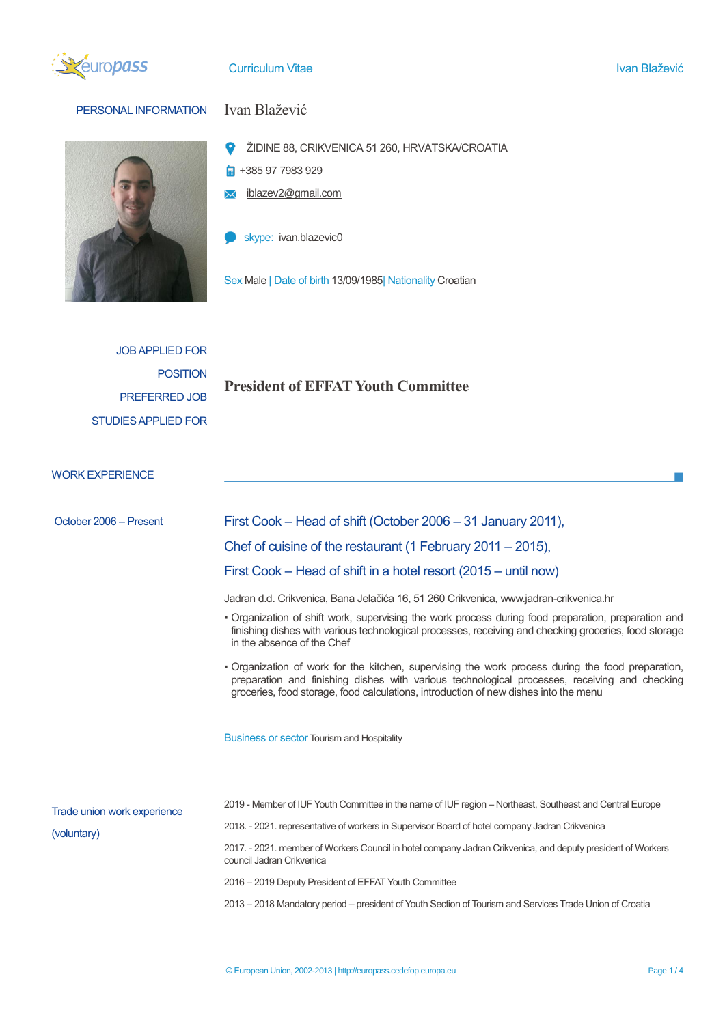

## Curriculum Vitae Ivan Blažević i Statističnih kontrologija i Statističnih kontrologija i Statističnih kontrolog



# PERSONAL INFORMATION Ivan Blažević

- $\bullet$ ŽIDINE 88, CRIKVENICA 51 260, HRVATSKA/CROATIA
- $\frac{1}{2}$  +385 97 7983 929
- **X** iblazev2@gmail.com
- skype: ivan.blazevic0

Sex Male | Date of birth 13/09/1985| Nationality Croatian

JOB APPLIED FOR POSITION PREFERRED JOB STUDIES APPLIED FOR

# **President of EFFAT Youth Committee**

WORK EXPERIENCE

| October 2006 - Present                     | First Cook – Head of shift (October 2006 – 31 January 2011),                                                                                                                                                                                                                               |  |  |  |
|--------------------------------------------|--------------------------------------------------------------------------------------------------------------------------------------------------------------------------------------------------------------------------------------------------------------------------------------------|--|--|--|
|                                            | Chef of cuisine of the restaurant (1 February 2011 – 2015),                                                                                                                                                                                                                                |  |  |  |
|                                            | First Cook – Head of shift in a hotel resort (2015 – until now)                                                                                                                                                                                                                            |  |  |  |
|                                            | Jadran d.d. Crikvenica, Bana Jelačića 16, 51 260 Crikvenica, www.jadran-crikvenica.hr                                                                                                                                                                                                      |  |  |  |
|                                            | . Organization of shift work, supervising the work process during food preparation, preparation and<br>finishing dishes with various technological processes, receiving and checking groceries, food storage<br>in the absence of the Chef                                                 |  |  |  |
|                                            | . Organization of work for the kitchen, supervising the work process during the food preparation,<br>preparation and finishing dishes with various technological processes, receiving and checking<br>groceries, food storage, food calculations, introduction of new dishes into the menu |  |  |  |
|                                            | <b>Business or sector Tourism and Hospitality</b>                                                                                                                                                                                                                                          |  |  |  |
|                                            | 2019 - Member of IUF Youth Committee in the name of IUF region – Northeast, Southeast and Central Europe                                                                                                                                                                                   |  |  |  |
| Trade union work experience<br>(voluntary) | 2018. - 2021. representative of workers in Supervisor Board of hotel company Jadran Crikvenica                                                                                                                                                                                             |  |  |  |
|                                            | 2017. - 2021. member of Workers Council in hotel company Jadran Crikvenica, and deputy president of Workers<br>council Jadran Crikvenica                                                                                                                                                   |  |  |  |
|                                            | 2016 - 2019 Deputy President of EFFAT Youth Committee                                                                                                                                                                                                                                      |  |  |  |
|                                            | 2013 – 2018 Mandatory period – president of Youth Section of Tourism and Services Trade Union of Croatia                                                                                                                                                                                   |  |  |  |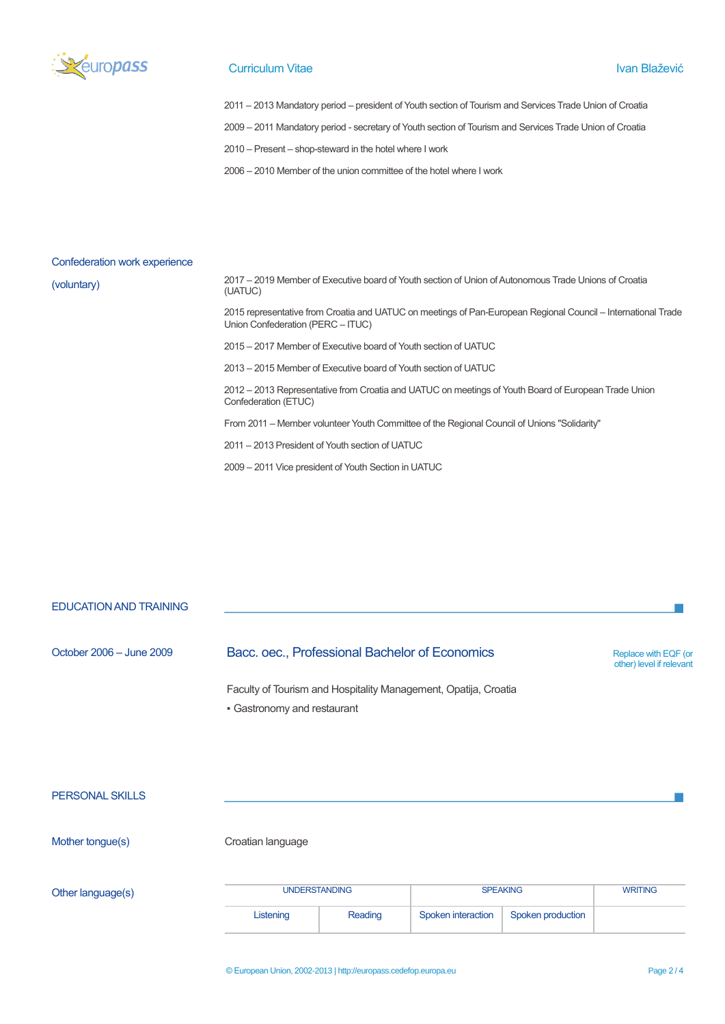

#### **Curriculum Vitae Ivan Blažević** Ivan Blažević i Sultan Blažević i Sultan Blažević i Sultan Blažević i Sultan Blažević

2011 – 2013 Mandatory period – president of Youth section of Tourism and Services Trade Union of Croatia

2009 – 2011 Mandatory period - secretary of Youth section of Tourism and Services Trade Union of Croatia

2010 – Present – shop-steward in the hotel where I work

2006 – 2010 Member of the union committee of the hotel where I work

#### Confederation work experience

(voluntary)

2017 – 2019 Member of Executive board of Youth section of Union of Autonomous Trade Unions of Croatia (UATUC)

2015 representative from Croatia and UATUC on meetings of Pan-European Regional Council – International Trade Union Confederation (PERC – ITUC)

2015 – 2017 Member of Executive board of Youth section of UATUC

2013 – 2015 Member of Executive board of Youth section of UATUC

2012 – 2013 Representative from Croatia and UATUC on meetings of Youth Board of European Trade Union Confederation (ETUC)

From 2011 – Member volunteer Youth Committee of the Regional Council of Unions "Solidarity"

2011 – 2013 President of Youth section of UATUC

2009 – 2011 Vice president of Youth Section in UATUC

### EDUCATION AND TRAINING

## October 2006 – June 2009 Bacc. oec., Professional Bachelor of Economics Replace with EQF (or

other) level if relevant

Faculty of Tourism and Hospitality Management, Opatija, Croatia ▪ Gastronomy and restaurant

PERSONAL SKILLS

Mother tongue(s) Croatian language

Other language(s)

| <b>UNDERSTANDING</b> |         | <b>SPEAKING</b>    |                   | <b>WRITING</b> |
|----------------------|---------|--------------------|-------------------|----------------|
| Listening            | Reading | Spoken interaction | Spoken production |                |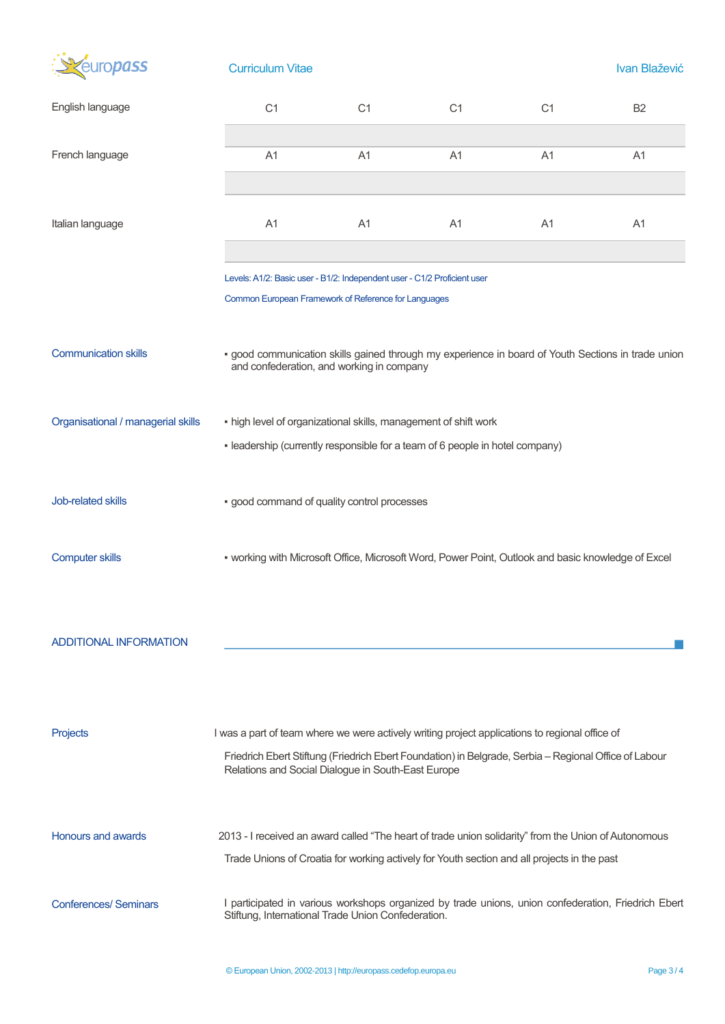| <b>TOPASS</b>                      | <b>Curriculum Vitae</b>                                                                                                                                                                                                                                       | Ivan Blažević  |                |                |                |  |  |
|------------------------------------|---------------------------------------------------------------------------------------------------------------------------------------------------------------------------------------------------------------------------------------------------------------|----------------|----------------|----------------|----------------|--|--|
| English language                   | C <sub>1</sub>                                                                                                                                                                                                                                                | C <sub>1</sub> | C <sub>1</sub> | C <sub>1</sub> | <b>B2</b>      |  |  |
| French language                    | A1                                                                                                                                                                                                                                                            | A1             | A1             | A <sub>1</sub> | A1             |  |  |
| Italian language                   | A <sub>1</sub>                                                                                                                                                                                                                                                | A <sub>1</sub> | A <sub>1</sub> | A <sub>1</sub> | A <sub>1</sub> |  |  |
|                                    | Levels: A1/2: Basic user - B1/2: Independent user - C1/2 Proficient user<br>Common European Framework of Reference for Languages                                                                                                                              |                |                |                |                |  |  |
| <b>Communication skills</b>        | · good communication skills gained through my experience in board of Youth Sections in trade union<br>and confederation, and working in company                                                                                                               |                |                |                |                |  |  |
| Organisational / managerial skills | . high level of organizational skills, management of shift work<br>. leadership (currently responsible for a team of 6 people in hotel company)                                                                                                               |                |                |                |                |  |  |
| Job-related skills                 | · good command of quality control processes                                                                                                                                                                                                                   |                |                |                |                |  |  |
| <b>Computer skills</b>             | • working with Microsoft Office, Microsoft Word, Power Point, Outlook and basic knowledge of Excel                                                                                                                                                            |                |                |                |                |  |  |
| <b>ADDITIONAL INFORMATION</b>      |                                                                                                                                                                                                                                                               |                |                |                |                |  |  |
| Projects                           | I was a part of team where we were actively writing project applications to regional office of<br>Friedrich Ebert Stiftung (Friedrich Ebert Foundation) in Belgrade, Serbia - Regional Office of Labour<br>Relations and Social Dialogue in South-East Europe |                |                |                |                |  |  |